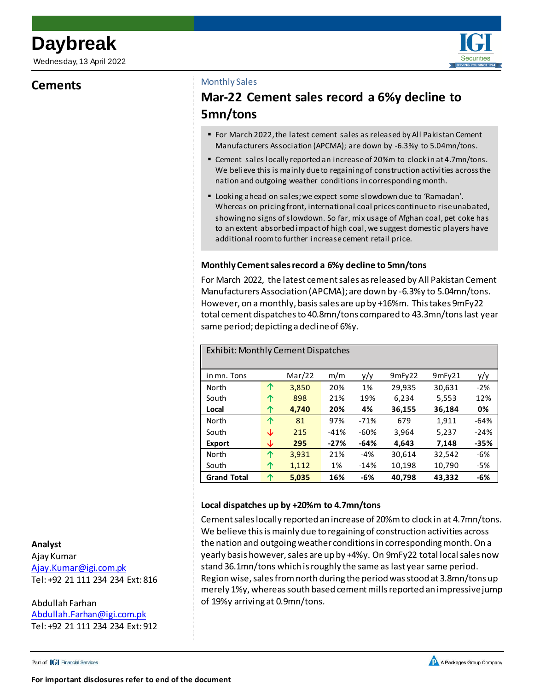Wednesday, 13 April 2022

# **Cements**



# **Mar-22 Cement sales record a 6%y decline to 5mn/tons**

- For March 2022, the latest cement sales as released by All Pakistan Cement Manufacturers Association (APCMA); are down by -6.3%y to 5.04mn/tons.
- Cement sales locally reported an increase of 20%m to clock in at 4.7mn/tons. We believe this is mainly due to regaining of construction activities across the nation and outgoing weather conditions in corresponding month.
- **Looking ahead on sales; we expect some slowdown due to 'Ramadan'.** Whereas on pricing front, international coal prices continue to rise unabated, showing no signs of slowdown. So far, mix usage of Afghan coal, pet coke has to an extent absorbed impact of high coal, we suggest domestic players have additional room to further increase cement retail price.

# **Monthly Cement sales record a 6%y decline to 5mn/tons**

For March 2022, the latest cement sales as released by All Pakistan Cement Manufacturers Association (APCMA); are down by -6.3%y to 5.04mn/tons. However, on a monthly, basis sales are up by +16%m. This takes 9mFy22 total cement dispatches to 40.8mn/tons compared to 43.3mn/tons last year same period; depicting a decline of 6%y.

| in mn. Tons        |   | Mar/22 | m/m    | y/y    | 9mFv22 | 9mFy21 | y/y    |
|--------------------|---|--------|--------|--------|--------|--------|--------|
| North              | ↑ | 3,850  | 20%    | 1%     | 29,935 | 30,631 | $-2%$  |
| South              | ↑ | 898    | 21%    | 19%    | 6,234  | 5,553  | 12%    |
| Local              | ↑ | 4,740  | 20%    | 4%     | 36,155 | 36,184 | 0%     |
| North              | ↑ | 81     | 97%    | $-71%$ | 679    | 1.911  | $-64%$ |
| South              | ↓ | 215    | $-41%$ | $-60%$ | 3,964  | 5,237  | $-24%$ |
| <b>Export</b>      | ↓ | 295    | $-27%$ | -64%   | 4,643  | 7.148  | -35%   |
| North              | 个 | 3,931  | 21%    | $-4%$  | 30,614 | 32,542 | $-6%$  |
| South              | ↑ | 1,112  | 1%     | $-14%$ | 10,198 | 10,790 | -5%    |
| <b>Grand Total</b> | ↑ | 5,035  | 16%    | $-6%$  | 40,798 | 43,332 | -6%    |

## Exhibit: Monthly Cement Dispatches

# **Local dispatches up by +20%m to 4.7mn/tons**

Cement sales locally reported an increase of 20%m to clock in at 4.7mn/tons. We believe this is mainly due to regaining of construction activities across the nation and outgoing weather conditions in corresponding month. On a yearly basis however, sales are up by +4%y. On 9mFy22 total local sales now stand 36.1mn/tons which is roughly the same as last year same period. Region wise, sales from north during the period was stood at 3.8mn/tons up merely 1%y, whereas south based cement mills reported an impressive jump of 19%y arriving at 0.9mn/tons.

## **Analyst**

Ajay Kumar [Ajay.Kumar@igi.com.pk](mailto:Ajay.Kumar@igi.com.pk) Tel: +92 21 111 234 234 Ext: 816

## Abdullah Farhan

[Abdullah.Farhan@igi.com.pk](mailto:Abdullah.Farhan@igi.com.pk) Tel: +92 21 111 234 234 Ext: 912

Part of **[G]** Financial Services

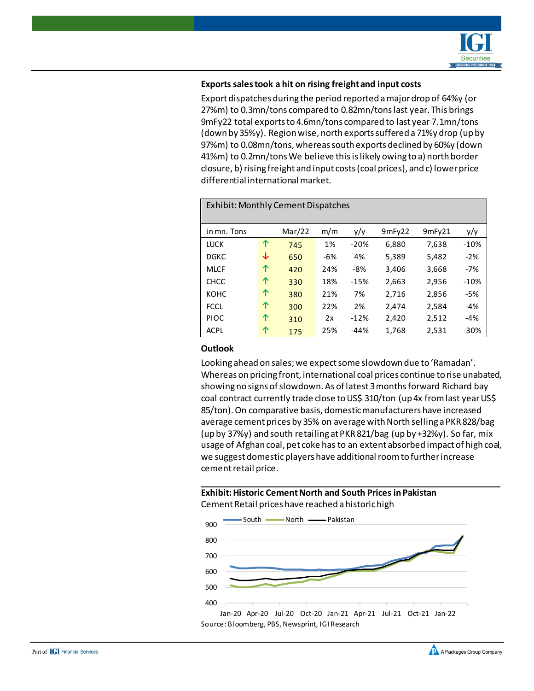

# **Exports sales took a hit on rising freight and input costs**

Export dispatches during the period reported a major drop of 64%y (or 27%m) to 0.3mn/tons compared to 0.82mn/tons last year. This brings 9mFy22 total exports to 4.6mn/tons compared to last year 7.1mn/tons (down by 35%y). Region wise, north exports suffered a 71%y drop (up by 97%m) to 0.08mn/tons, whereas south exports declined by 60%y (down 41%m) to 0.2mn/tons We believe this is likely owing to a) north border closure, b) rising freight and input costs (coal prices), and c) lower price differential international market.

| Exhibit: Monthly Cement Dispatches |   |        |     |        |        |        |        |
|------------------------------------|---|--------|-----|--------|--------|--------|--------|
| in mn. Tons                        |   | Mar/22 | m/m | y/y    | 9mFy22 | 9mFv21 | y/y    |
| <b>LUCK</b>                        | ↑ | 745    | 1%  | $-20%$ | 6,880  | 7,638  | $-10%$ |
| <b>DGKC</b>                        | ↓ | 650    | -6% | 4%     | 5,389  | 5,482  | $-2%$  |
| <b>MLCF</b>                        | ↑ | 420    | 24% | $-8%$  | 3,406  | 3,668  | $-7%$  |
| <b>CHCC</b>                        | ↑ | 330    | 18% | $-15%$ | 2,663  | 2,956  | $-10%$ |
| <b>KOHC</b>                        | ↑ | 380    | 21% | 7%     | 2,716  | 2,856  | $-5%$  |
| <b>FCCL</b>                        | ↑ | 300    | 22% | 2%     | 2,474  | 2,584  | -4%    |
| <b>PIOC</b>                        | ↑ | 310    | 2x  | $-12%$ | 2,420  | 2,512  | -4%    |
| <b>ACPL</b>                        | ↑ | 175    | 25% | $-44%$ | 1,768  | 2,531  | $-30%$ |

#### **Outlook**

Looking ahead on sales; we expect some slowdown due to 'Ramadan'. Whereas on pricing front, international coal prices continue to rise unabated, showing no signs of slowdown. As of latest 3 months forward Richard bay coal contract currently trade close to US\$ 310/ton (up 4x from last year US\$ 85/ton). On comparative basis, domestic manufacturers have increased average cement prices by 35% on average with North selling a PKR 828/bag (up by 37%y) and south retailing at PKR 821/bag (up by +32%y). So far, mix usage of Afghan coal, pet coke has to an extent absorbed impact of high coal, we suggest domestic players have additional room to further increase cement retail price.

## **Exhibit: Historic Cement North and South Prices in Pakistan** Cement Retail prices have reached a historic high

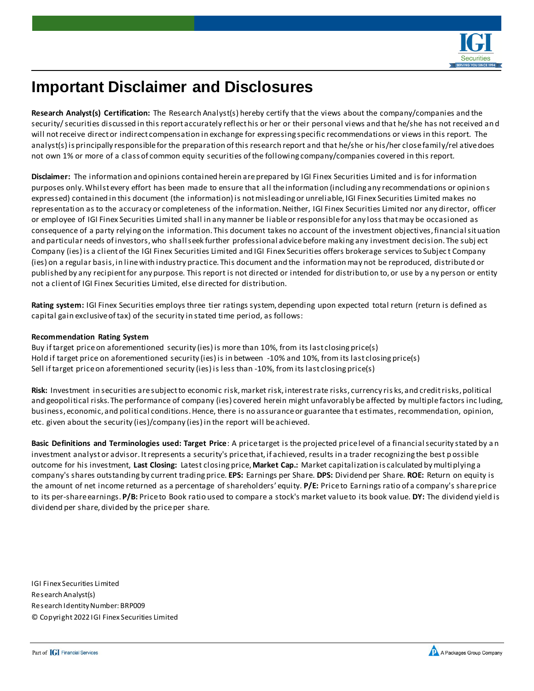

# **Important Disclaimer and Disclosures**

**Research Analyst(s) Certification:** The Research Analyst(s) hereby certify that the views about the company/companies and the security/ securities discussed in this report accurately reflect his or her or their personal views and that he/she has not received an d will not receive direct or indirect compensation in exchange for expressing specific recommendations or views in this report. The analyst(s) is principally responsible for the preparation of this research report and that he/she or his/her close family/rel ative does not own 1% or more of a class of common equity securities of the following company/companies covered in this report.

**Disclaimer:** The information and opinions contained herein are prepared by IGI Finex Securities Limited and is for information purposes only. Whilst every effort has been made to ensure that all the information (including any recommendations or opinion s expressed) contained in this document (the information) is not misleading or unreliable, IGI Finex Securities Limited makes no representation as to the accuracy or completeness of the information. Neither, IGI Finex Securities Limited nor any director, officer or employee of IGI Finex Securities Limited shall in any manner be liable or responsible for any loss that may be occasioned as consequence of a party relying on the information. This document takes no account of the investment objectives, financial situation and particular needs of investors, who shall seek further professional advice before making any investment decision. The subj ect Company (ies) is a client of the IGI Finex Securities Limited and IGI Finex Securities offers brokerage services to Subjec t Company (ies) on a regular basis, in line with industry practice. This document and the information may not be reproduced, distributed or published by any recipient for any purpose. This report is not directed or intended for distribution to, or use by a ny person or entity not a client of IGI Finex Securities Limited, else directed for distribution.

**Rating system:** IGI Finex Securities employs three tier ratings system, depending upon expected total return (return is defined as capital gain exclusive of tax) of the security in stated time period, as follows:

#### **Recommendation Rating System**

Buy if target price on aforementioned security (ies) is more than 10%, from its last closing price(s) Hold if target price on aforementioned security (ies) is in between -10% and 10%, from its last closing price(s) Sell if target price on aforementioned security (ies) is less than -10%, from its last closing price(s)

**Risk:** Investment in securities are subject to economic risk, market risk, interest rate risks, currency ris ks, and credit risks, political and geopolitical risks. The performance of company (ies) covered herein might unfavorably be affected by multiple factors inc luding, business, economic, and political conditions. Hence, there is no assurance or guarantee tha t estimates, recommendation, opinion, etc. given about the security (ies)/company (ies) in the report will be achieved.

**Basic Definitions and Terminologies used: Target Price**: A price target is the projected price level of a financial security stated by a n investment analyst or advisor. It represents a security's price that, if achieved, results in a trader recognizing the best p ossible outcome for his investment, **Last Closing:** Latest closing price, **Market Cap.:** Market capitalization is calculated by multiplying a company's shares outstanding by current trading price. **EPS:** Earnings per Share. **DPS:** Dividend per Share. **ROE:** Return on equity is the amount of net income returned as a percentage of shareholders' equity. **P/E:** Price to Earnings ratio of a company's share price to its per-share earnings. **P/B:** Price to Book ratio used to compare a stock's market value to its book value. **DY:** The dividend yield is dividend per share, divided by the price per share.

IGI Finex Securities Limited Research Analyst(s) Research Identity Number: BRP009 © Copyright 2022 IGI Finex Securities Limited